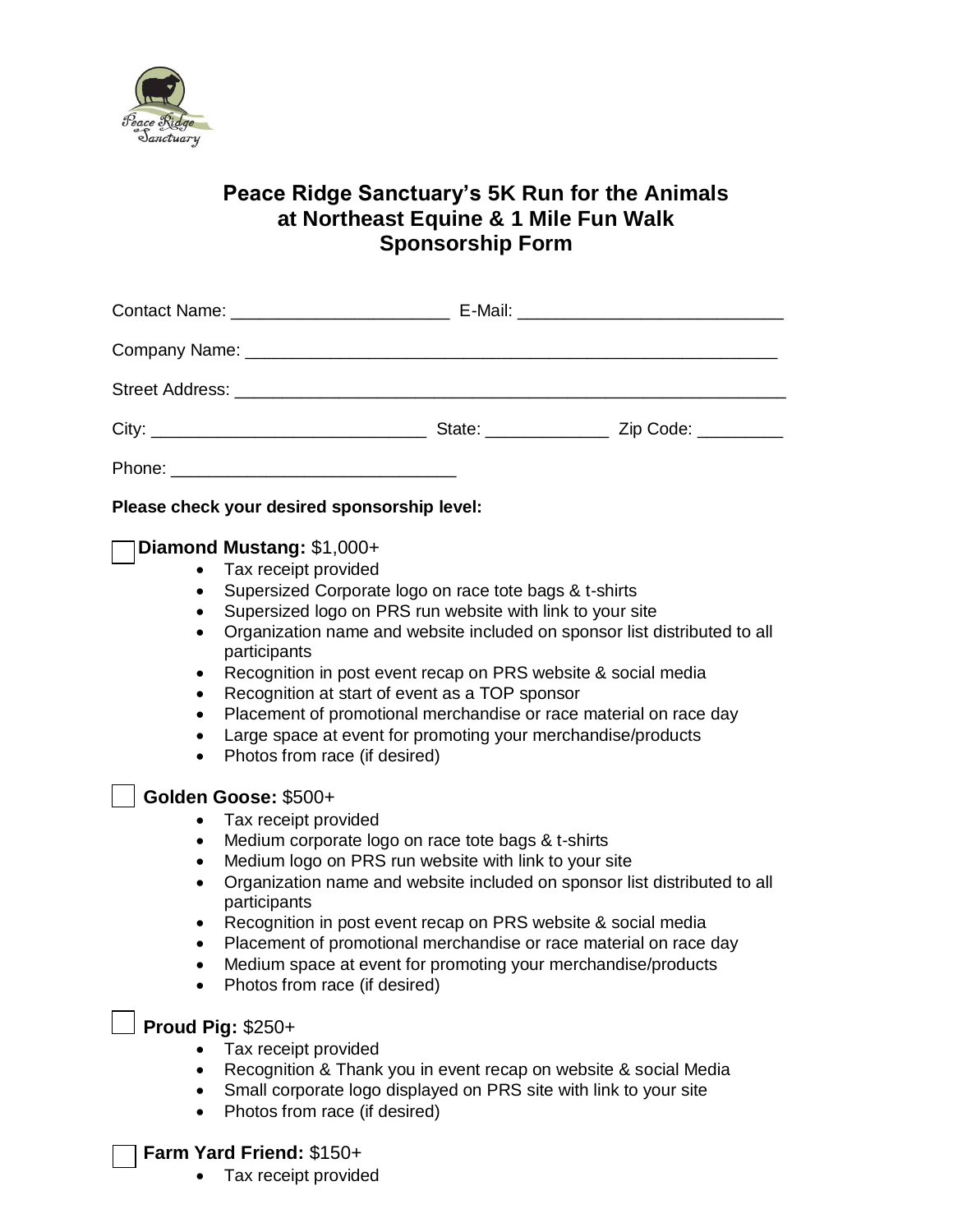

## **Peace Ridge Sanctuary's 5K Run for the Animals at Northeast Equine & 1 Mile Fun Walk Sponsorship Form**

|                                                                                                   | Please check your desired sponsorship level:                                                                                                                                                                                                                                                                                                                                                                                                                                                                                                                   |
|---------------------------------------------------------------------------------------------------|----------------------------------------------------------------------------------------------------------------------------------------------------------------------------------------------------------------------------------------------------------------------------------------------------------------------------------------------------------------------------------------------------------------------------------------------------------------------------------------------------------------------------------------------------------------|
| $\bullet$<br>$\bullet$<br>$\bullet$<br>$\bullet$<br>$\bullet$<br>$\bullet$<br>٠<br>٠<br>$\bullet$ | Diamond Mustang: \$1,000+<br>Tax receipt provided<br>Supersized Corporate logo on race tote bags & t-shirts<br>Supersized logo on PRS run website with link to your site<br>Organization name and website included on sponsor list distributed to all<br>participants<br>Recognition in post event recap on PRS website & social media<br>Recognition at start of event as a TOP sponsor<br>Placement of promotional merchandise or race material on race day<br>Large space at event for promoting your merchandise/products<br>Photos from race (if desired) |
| $\bullet$<br>$\bullet$<br>$\bullet$<br>$\bullet$<br>$\bullet$<br>$\bullet$<br>$\bullet$           | Golden Goose: \$500+<br>Tax receipt provided<br>Medium corporate logo on race tote bags & t-shirts<br>Medium logo on PRS run website with link to your site<br>Organization name and website included on sponsor list distributed to all<br>participants<br>Recognition in post event recap on PRS website & social media<br>Placement of promotional merchandise or race material on race day<br>Medium space at event for promoting your merchandise/products<br>Photos from race (if desired)                                                               |
| $\bullet$                                                                                         | <b>Proud Pig: \$250+</b><br>Tax receipt provided<br>Recognition & Thank you in event recap on website & social Media<br>Small corporate logo displayed on PRS site with link to your site<br>Photos from race (if desired)<br>Farm Yard Friend: \$150+                                                                                                                                                                                                                                                                                                         |
|                                                                                                   | Tax receipt provided                                                                                                                                                                                                                                                                                                                                                                                                                                                                                                                                           |